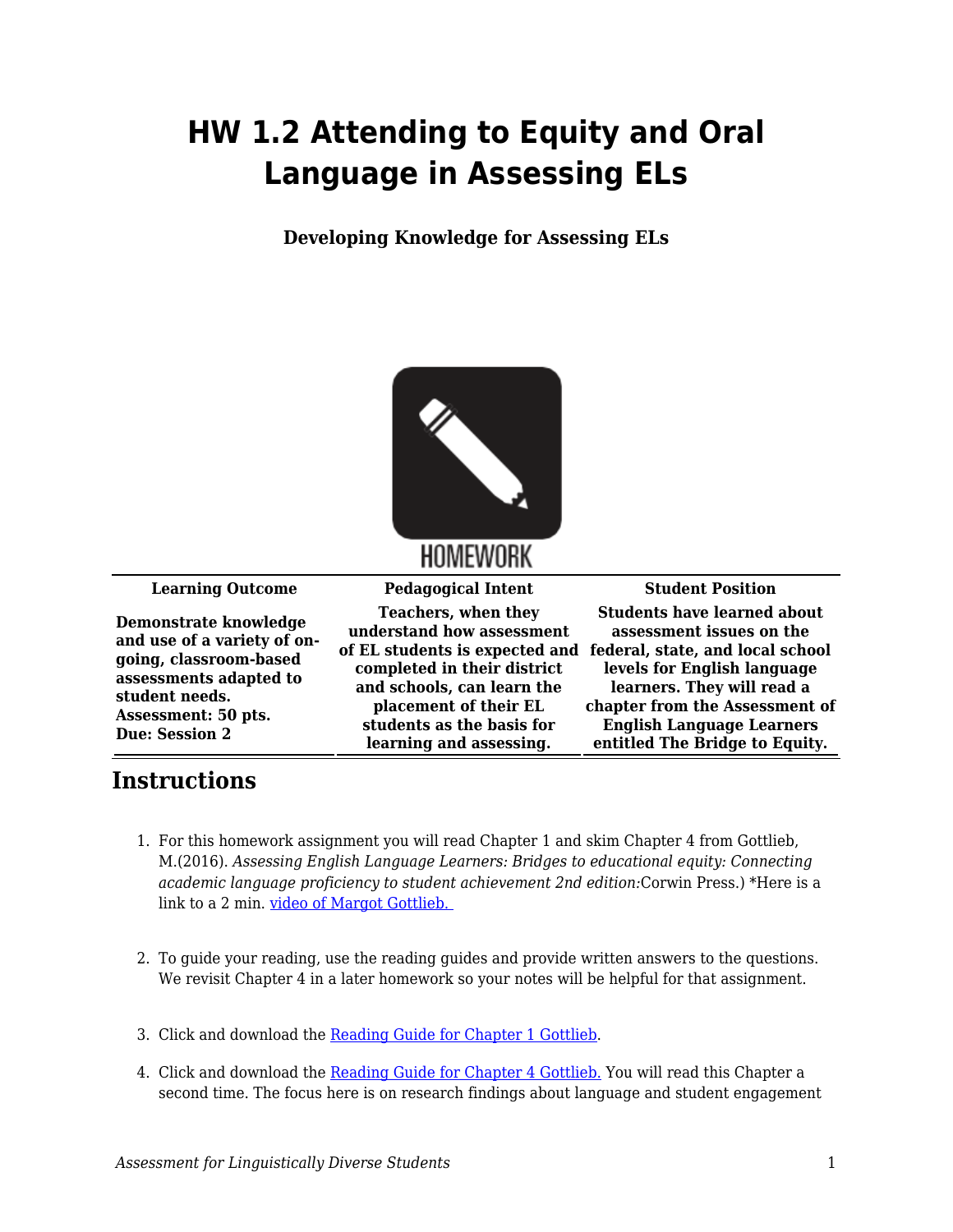## **HW 1.2 Attending to Equity and Oral Language in Assessing ELs**

**Developing Knowledge for Assessing ELs**



**Demonstrate knowledge and use of a variety of ongoing, classroom-based assessments adapted to student needs. Assessment: 50 pts. Due: Session 2**

**Teachers, when they understand how assessment of EL students is expected and federal, state, and local school completed in their district and schools, can learn the placement of their EL students as the basis for learning and assessing.**

**Learning Outcome Pedagogical Intent Student Position Students have learned about assessment issues on the levels for English language learners. They will read a chapter from the Assessment of English Language Learners entitled The Bridge to Equity.**

## **Instructions**

- 1. For this homework assignment you will read Chapter 1 and skim Chapter 4 from Gottlieb, M.(2016). *Assessing English Language Learners: Bridges to educational equity: Connecting academic language proficiency to student achievement 2nd edition:*Corwin Press.) \*Here is a link to a 2 min. video of Margot Gottlieb.
- 2. To guide your reading, use the reading guides and provide written answers to the questions. We revisit Chapter 4 in a later homework so your notes will be helpful for that assignment.
- 3. Click and download the [Reading Guide for Chapter 1 Gottlieb.](https://byu.box.com/s/sjc73z2z9z3mf20ci0pjzi1yxjguamxi)
- 4. Click and download the [Reading Guide for Chapter 4 Gottlieb.](https://byu.box.com/s/aagm2gnoyprva6v21zy34iawntlf74eh) You will read this Chapter a second time. The focus here is on research findings about language and student engagement